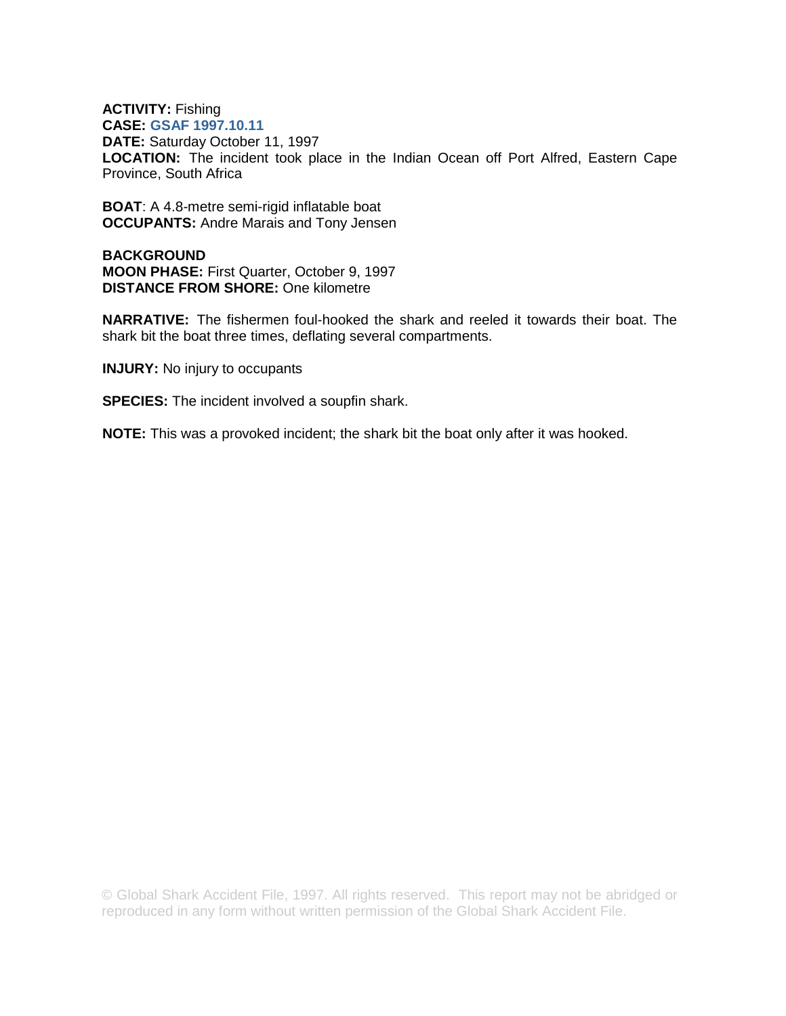## **ACTIVITY:** Fishing **CASE: GSAF 1997.10.11**

**DATE:** Saturday October 11, 1997 **LOCATION:** The incident took place in the Indian Ocean off Port Alfred, Eastern Cape Province, South Africa

**BOAT**: A 4.8-metre semi-rigid inflatable boat **OCCUPANTS:** Andre Marais and Tony Jensen

**BACKGROUND MOON PHASE:** First Quarter, October 9, 1997 **DISTANCE FROM SHORE:** One kilometre

**NARRATIVE:** The fishermen foul-hooked the shark and reeled it towards their boat. The shark bit the boat three times, deflating several compartments.

**INJURY:** No injury to occupants

**SPECIES:** The incident involved a soupfin shark.

**NOTE:** This was a provoked incident; the shark bit the boat only after it was hooked.

© Global Shark Accident File, 1997. All rights reserved. This report may not be abridged or reproduced in any form without written permission of the Global Shark Accident File.